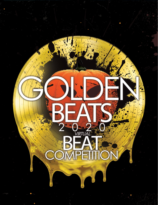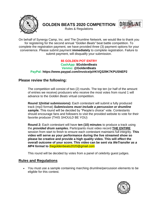

**GOLDEN BEATS 2020 COMPETITION**



Rules & Regulations

On behalf of Synergy Camp, Inc. and The Drumline Network, we would like to thank you for registering for the second annual *"Golden Beats"* beat battle competition. To complete the registration payment, we have provided three (3) payment options for your convenience. Please submit payment **immediately** to complete registration. Failure to submit payment, will disqualify your submission.

### **\$5 GOLDEN POT ENTRY CashApp: \$GoldenBeats Venmo: @GoldenBeats PayPal: https://www.paypal.com/invoice/p/#KVQ329K7KPUSNEP2**

## **Please review the following:**

The competition will consist of two (2) rounds. The top ten (or half of the amount of entries we receive) producers who receive the most votes from round 1 will advance to the *Golden Beats* virtual competition.

**Round 1(Initial submissions):** Each contestant will submit a fully produced track (mp3 format) *Submissions must include a percussion or drumline sample.* This round will be decided by "People's choice" vote. Contestants should encourage fans and followers to visit the provided website to vote for their favorite producer (THIS *SHOULD* BE YOU)

**Round 2:** Each contestant will have **ten (10) minutes** to produce a track using the *provided drum samples.* Participants must video record **THE ENTIRE** session from start to finish to ensure each contestant maintains full integrity. **This video will serve as your performance during the live streamed show so please be creative and provide a high quality video. This will effect the overall outcome of your score. This video can be sent via** *WeTransfer as a MP4 format* **to** thegoldenbeats2020@gmail.com

This round will be decided by votes from a panel of celebrity guest judges.

# **Rules and Regulations**

• You must use a sample containing marching drumline/percussion elements to be eligible for this contest.

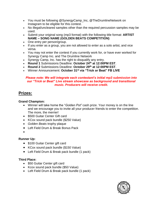- You must be following @SynergyCamp\_Inc, @TheDrumlineNetwork on Instagram to be eligible for this contest.
- No illegal/uncleared samples other than the required percussion samples may be used.
- Submit your original song (mp3 format) with the following title format: **ARTIST NAME – SONG NAME (GOLDEN BEATS COMPETITION)**
- One entry per person/group.
- If you enter as a group, you are not allowed to enter as a solo artist, and vice versa.
- You may not enter the contest if you currently work for, or have ever worked for Synergy Camp Inc. and The Drumline Network
- Synergy Camp, Inc. has the right to disqualify any entry.
- **Round 1** Submissions Deadline: **October 24th at 12:00PM EST**.
- **Round 2** Submissions Deadline: **October 29th at 12:00PM EST**.
- Winner Announcement: **October 31st via "Trick or Beat" FB LIVE**

#### *Please note: We will integrate each contestant's initial mp3 submission into our "Trick or Beat" Live stream showcase as background and transitional music. Producers will receive credit.*

# **Prizes:**

### **Grand Champion:**

- Winner will take home the "*Golden Pot"* cash prize. Your money is on the line and we encourage you to invite all your producer friends to enter the competition. The more, the merrier!
- \$500 Guitar Center Gift card
- KCox sound pack bundle (\$250 Value)
- *Golden Beats* trophy plaque
- Left Field Drum & Break Bonus Pack
- •

## **Runner Up:**

- \$100 Guitar Center gift card
- KCox sound pack bundle (\$150 Value)
- Left Field Drum & Break pack bundle (1 pack)

### **Third Place:**

- \$50 Guitar Center gift card
- Kcox sound pack bundle (\$50 Value)
- Left Field Drum & Break pack bundle (1 pack)